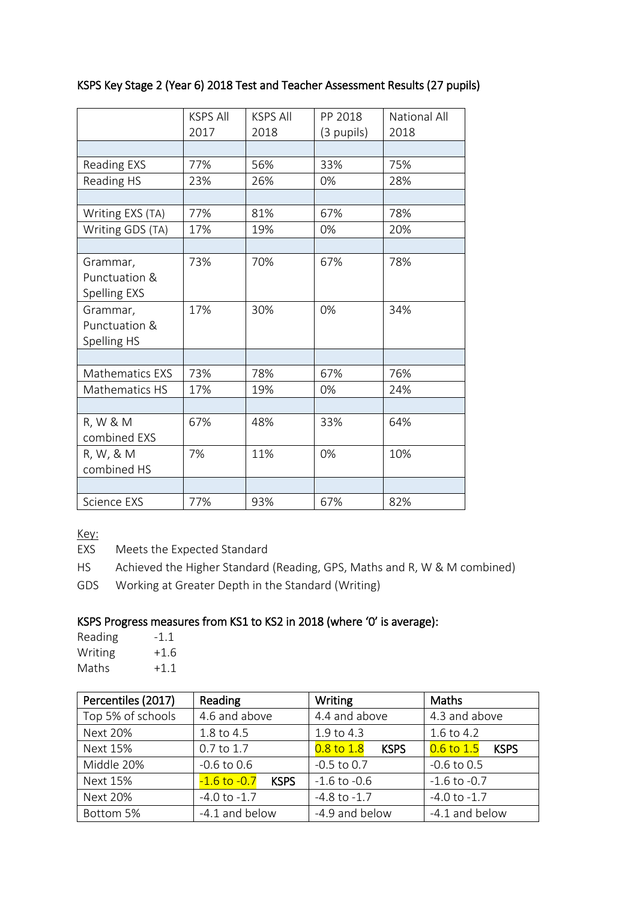### KSPS Key Stage 2 (Year 6) 2018 Test and Teacher Assessment Results (27 pupils)

|                                           | <b>KSPS All</b> | <b>KSPS All</b> | PP 2018    | <b>National All</b> |
|-------------------------------------------|-----------------|-----------------|------------|---------------------|
|                                           | 2017            | 2018            | (3 pupils) | 2018                |
|                                           |                 |                 |            |                     |
| Reading EXS                               | 77%             | 56%             | 33%        | 75%                 |
| Reading HS                                | 23%             | 26%             | 0%         | 28%                 |
|                                           |                 |                 |            |                     |
| Writing EXS (TA)                          | 77%             | 81%             | 67%        | 78%                 |
| Writing GDS (TA)                          | 17%             | 19%             | 0%         | 20%                 |
|                                           |                 |                 |            |                     |
| Grammar,<br>Punctuation &<br>Spelling EXS | 73%             | 70%             | 67%        | 78%                 |
| Grammar,<br>Punctuation &<br>Spelling HS  | 17%             | 30%             | 0%         | 34%                 |
|                                           |                 |                 |            |                     |
| Mathematics EXS                           | 73%             | 78%             | 67%        | 76%                 |
| Mathematics HS                            | 17%             | 19%             | 0%         | 24%                 |
|                                           |                 |                 |            |                     |
| R, W & M<br>combined EXS                  | 67%             | 48%             | 33%        | 64%                 |
| R, W, & M<br>combined HS                  | 7%              | 11%             | 0%         | 10%                 |
|                                           |                 |                 |            |                     |
| <b>Science EXS</b>                        | 77%             | 93%             | 67%        | 82%                 |

Key:

EXS Meets the Expected Standard

HS Achieved the Higher Standard (Reading, GPS, Maths and R, W & M combined)

GDS Working at Greater Depth in the Standard (Writing)

#### KSPS Progress measures from KS1 to KS2 in 2018 (where '0' is average):

| Reading | -11    |
|---------|--------|
| Writing | $+1.6$ |
| Maths   | $+1.1$ |

| Percentiles (2017) | Reading                         | Writing                       | Maths                         |  |
|--------------------|---------------------------------|-------------------------------|-------------------------------|--|
| Top 5% of schools  | 4.6 and above                   | 4.4 and above                 | 4.3 and above                 |  |
| <b>Next 20%</b>    | 1.8 to 4.5                      | 1.9 to 4.3                    | 1.6 to 4.2                    |  |
| Next 15%           | 0.7 to 1.7                      | $0.8$ to $1.8$<br><b>KSPS</b> | $0.6$ to $1.5$<br><b>KSPS</b> |  |
| Middle 20%         | $-0.6$ to $0.6$                 | $-0.5$ to 0.7                 | $-0.6$ to $0.5$               |  |
| Next 15%           | $-1.6$ to $-0.7$<br><b>KSPS</b> | $-1.6$ to $-0.6$              | $-1.6$ to $-0.7$              |  |
| <b>Next 20%</b>    | $-4.0$ to $-1.7$                | $-4.8$ to $-1.7$              | $-4.0$ to $-1.7$              |  |
| Bottom 5%          | -4.1 and below                  | -4.9 and below                | -4.1 and below                |  |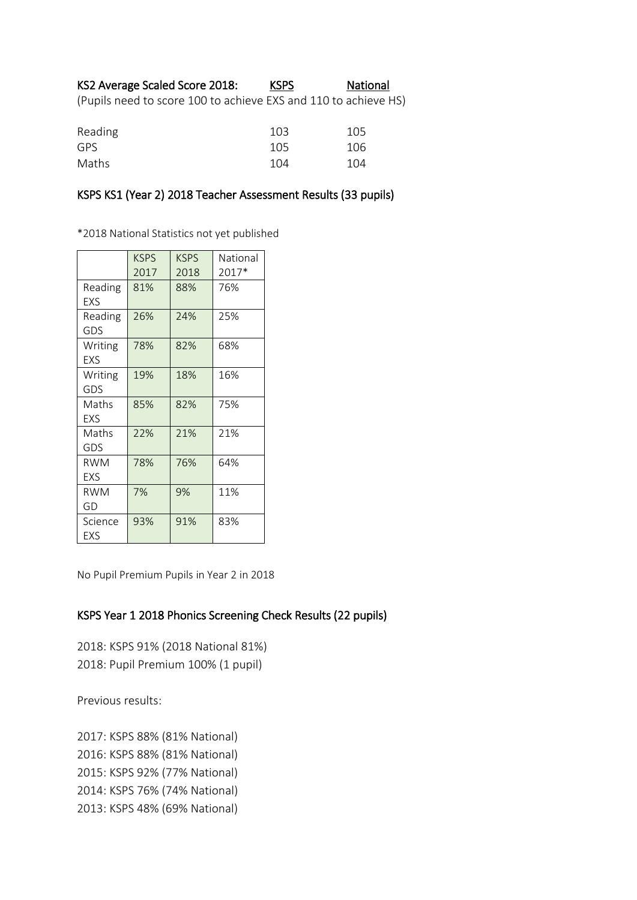# KS2 Average Scaled Score 2018: KSPS National

(Pupils need to score 100 to achieve EXS and 110 to achieve HS)

| Reading | 103 | 105 |
|---------|-----|-----|
| GPS.    | 105 | 106 |
| Maths   | 104 | 104 |

#### KSPS KS1 (Year 2) 2018 Teacher Assessment Results (33 pupils)

\*2018 National Statistics not yet published

|                          | <b>KSPS</b><br>2017 | <b>KSPS</b><br>2018 | National<br>2017* |
|--------------------------|---------------------|---------------------|-------------------|
| Reading<br>EXS           | 81%                 | 88%                 | 76%               |
| Reading<br>GDS           | 26%                 | 24%                 | 25%               |
| Writing<br><b>FXS</b>    | 78%                 | 82%                 | 68%               |
| Writing<br>GDS           | 19%                 | 18%                 | 16%               |
| Maths<br>EXS             | 85%                 | 82%                 | 75%               |
| Maths<br>GDS             | 22%                 | 21%                 | 21%               |
| <b>RWM</b><br><b>EXS</b> | 78%                 | 76%                 | 64%               |
| <b>RWM</b><br>GD         | 7%                  | 9%                  | 11%               |
| Science<br>EXS           | 93%                 | 91%                 | 83%               |

No Pupil Premium Pupils in Year 2 in 2018

#### KSPS Year 1 2018 Phonics Screening Check Results (22 pupils)

2018: KSPS 91% (2018 National 81%) 2018: Pupil Premium 100% (1 pupil)

Previous results:

2017: KSPS 88% (81% National) 2016: KSPS 88% (81% National) 2015: KSPS 92% (77% National) 2014: KSPS 76% (74% National) 2013: KSPS 48% (69% National)